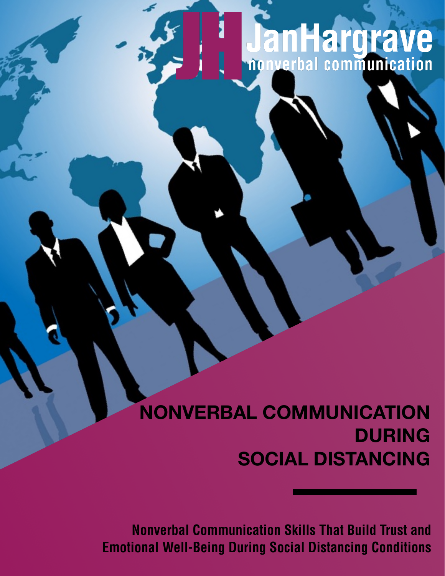## **JanHargrave**

## **NONVERBAL COMMUNICATION DURING SOCIAL DISTANCING**

[support@janhargrave.com](mailto:support@janhargrave.com) **Nonverbal Communication Skills That Build Trust and Emotional Well-Being During Social Distancing Conditions**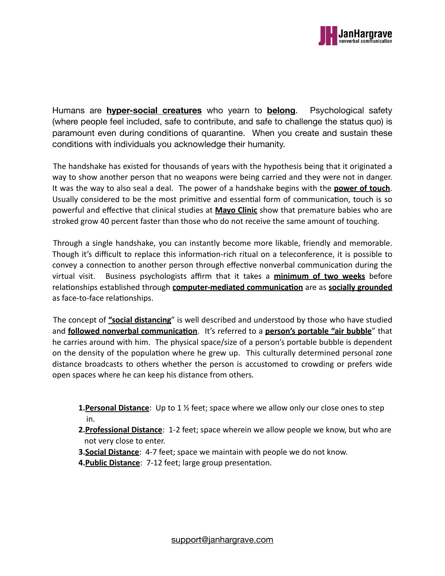

Humans are **hyper-social creatures** who yearn to **belong**. Psychological safety (where people feel included, safe to contribute, and safe to challenge the status quo) is paramount even during conditions of quarantine. When you create and sustain these conditions with individuals you acknowledge their humanity.

The handshake has existed for thousands of years with the hypothesis being that it originated a way to show another person that no weapons were being carried and they were not in danger. It was the way to also seal a deal. The power of a handshake begins with the **power of touch**. Usually considered to be the most primitive and essential form of communication, touch is so powerful and effective that clinical studies at **Mayo Clinic** show that premature babies who are stroked grow 40 percent faster than those who do not receive the same amount of touching.

Through a single handshake, you can instantly become more likable, friendly and memorable. Though it's difficult to replace this information-rich ritual on a teleconference, it is possible to convey a connection to another person through effective nonverbal communication during the virtual visit. Business psychologists affirm that it takes a *minimum of two weeks* before relationships established through **computer-mediated communication** are as **socially grounded** as face-to-face relationships.

The concept of "social distancing" is well described and understood by those who have studied and **followed nonverbal communication**. It's referred to a **person's portable "air bubble**" that he carries around with him. The physical space/size of a person's portable bubble is dependent on the density of the population where he grew up. This culturally determined personal zone distance broadcasts to others whether the person is accustomed to crowding or prefers wide open spaces where he can keep his distance from others.

- **1. Personal Distance**: Up to 1 <sup>1</sup>/<sub>2</sub> feet; space where we allow only our close ones to step in.
- **2. Professional Distance**: 1-2 feet; space wherein we allow people we know, but who are not very close to enter.
- **3. Social Distance**: 4-7 feet; space we maintain with people we do not know.
- **4. Public Distance:** 7-12 feet; large group presentation.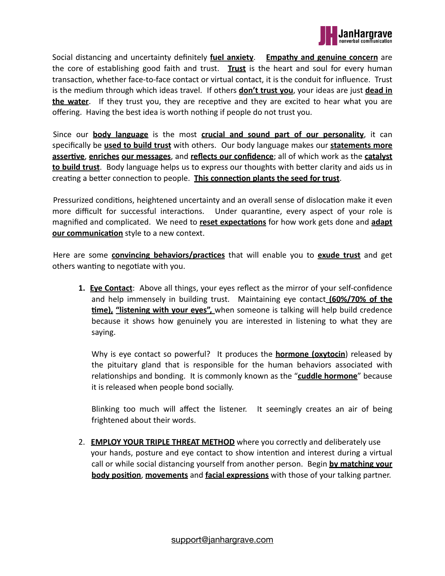

Social distancing and uncertainty definitely **fuel anxiety**. **Empathy and genuine concern** are the core of establishing good faith and trust. **Trust** is the heart and soul for every human transaction, whether face-to-face contact or virtual contact, it is the conduit for influence. Trust is the medium through which ideas travel. If others **don't trust you**, your ideas are just **dead in the water**. If they trust you, they are receptive and they are excited to hear what you are offering. Having the best idea is worth nothing if people do not trust you.

Since our **body language** is the most **crucial and sound part of our personality**, it can specifically be **used to build trust** with others. Our body language makes our **statements more assertive**, **enriches our messages**, and **reflects our confidence**; all of which work as the **catalyst to build trust**. Body language helps us to express our thoughts with better clarity and aids us in creating a better connection to people. This connection plants the seed for trust.

Pressurized conditions, heightened uncertainty and an overall sense of dislocation make it even more difficult for successful interactions. Under quarantine, every aspect of your role is magnified and complicated. We need to **reset expectations** for how work gets done and **adapt our communication** style to a new context.

Here are some **convincing behaviors/practices** that will enable you to **exude trust** and get others wanting to negotiate with you.

**1. Eve Contact**: Above all things, your eyes reflect as the mirror of your self-confidence and help immensely in building trust. Maintaining eye contact (60%/70% of the **time), "listening with your eyes",** when someone is talking will help build credence because it shows how genuinely you are interested in listening to what they are saying.

Why is eye contact so powerful? It produces the **hormone (oxytocin**) released by the pituitary gland that is responsible for the human behaviors associated with relationships and bonding. It is commonly known as the "cuddle hormone" because it is released when people bond socially.

Blinking too much will affect the listener. It seemingly creates an air of being frightened about their words.

2. **EMPLOY YOUR TRIPLE THREAT METHOD** where you correctly and deliberately use your hands, posture and eye contact to show intention and interest during a virtual call or while social distancing yourself from another person. Begin **by matching your body position, movements** and **facial expressions** with those of your talking partner.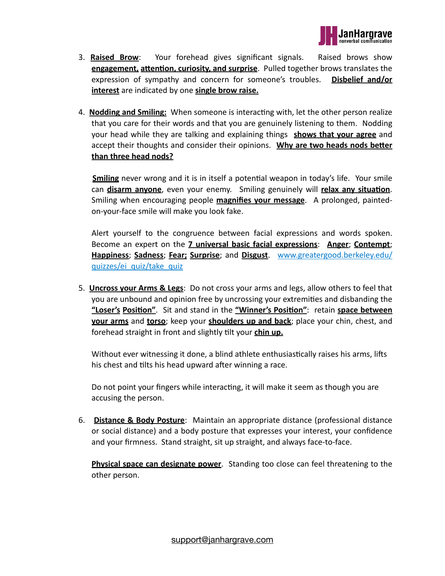

- 3. **Raised Brow**: Your forehead gives significant signals. Raised brows show **engagement, attention, curiosity, and surprise**. Pulled together brows translates the expression of sympathy and concern for someone's troubles. Disbelief and/or **interest** are indicated by one **single brow raise.**
- 4. **Nodding and Smiling:** When someone is interacting with, let the other person realize that you care for their words and that you are genuinely listening to them. Nodding your head while they are talking and explaining things **shows that your agree** and accept their thoughts and consider their opinions. Why are two heads nods better **than three head nods?**

**Smiling** never wrong and it is in itself a potential weapon in today's life. Your smile can **disarm anyone**, even your enemy. Smiling genuinely will relax any situation. Smiling when encouraging people **magnifies your message**. A prolonged, paintedon-your-face smile will make you look fake.

Alert yourself to the congruence between facial expressions and words spoken. Become an expert on the **7 universal basic facial expressions: Anger**; **Contempt**; **Happiness**; **Sadness**; **Fear; Surprise**; and **Disgust**. [www.greatergood.berkeley.edu/](http://www.greatergood.berkeley.edu/quizzes/ei_quiz/take_quiz) [quizzes/ei\\_quiz/take\\_quiz](http://www.greatergood.berkeley.edu/quizzes/ei_quiz/take_quiz)

5. **Uncross your Arms & Legs**: Do not cross your arms and legs, allow others to feel that you are unbound and opinion free by uncrossing your extremities and disbanding the "Loser's Position". Sit and stand in the "Winner's Position": retain space between **your arms** and **torso**; keep your **shoulders up and back**; place your chin, chest, and forehead straight in front and slightly tilt your **chin up.** 

Without ever witnessing it done, a blind athlete enthusiastically raises his arms, lifts his chest and tilts his head upward after winning a race.

Do not point your fingers while interacting, it will make it seem as though you are accusing the person.

6. **Distance & Body Posture**: Maintain an appropriate distance (professional distance or social distance) and a body posture that expresses your interest, your confidence and your firmness. Stand straight, sit up straight, and always face-to-face.

**Physical space can designate power**. Standing too close can feel threatening to the other person.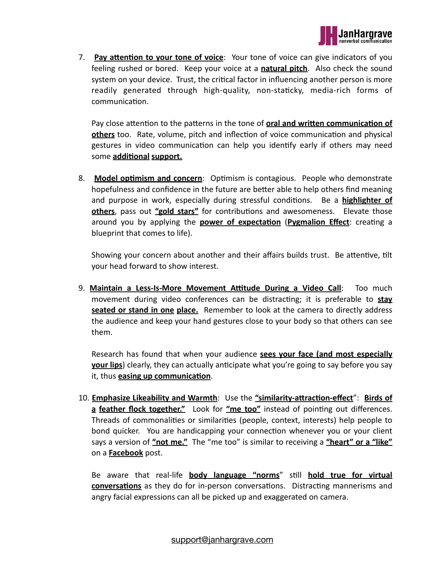

7. **Pay attention to your tone of voice**: Your tone of voice can give indicators of you feeling rushed or bored. Keep your voice at a **natural pitch**. Also check the sound system on your device. Trust, the critical factor in influencing another person is more readily generated through high-quality, non-staticky, media-rich forms of communication.

Pay close attention to the patterns in the tone of **oral and written communication of others** too. Rate, volume, pitch and inflection of voice communication and physical gestures in video communication can help you identify early if others may need some **additional support.** 

8. **Model optimism and concern**: Optimism is contagious. People who demonstrate hopefulness and confidence in the future are better able to help others find meaning and purpose in work, especially during stressful conditions. Be a **highlighter of others**, pass out "**gold stars**" for contributions and awesomeness. Elevate those around you by applying the **power of expectation (Pygmalion Effect**: creating a blueprint that comes to life).

Showing your concern about another and their affairs builds trust. Be attentive, tilt your head forward to show interest.

9. Maintain a Less-Is-More Movement Attitude During a Video Call: Too much movement during video conferences can be distracting; it is preferable to **stay seated or stand in one place.** Remember to look at the camera to directly address the audience and keep your hand gestures close to your body so that others can see them. 

Research has found that when your audience **sees your face (and most especially your lips**) clearly, they can actually anticipate what you're going to say before you say it, thus **easing up communication**.

10. **Emphasize Likeability and Warmth**: Use the "similarity-attraction-effect": Birds of a **feather flock together."** Look for "ne too" instead of pointing out differences. Threads of commonalities or similarities (people, context, interests) help people to bond quicker. You are handicapping your connection whenever you or your client says a version of <u>"not me."</u> The "me too" is similar to receiving a "heart" or a "like" on a **Facebook** post.

Be aware that real-life **body language "norms**" still **hold true for virtual conversations** as they do for in-person conversations. Distracting mannerisms and angry facial expressions can all be picked up and exaggerated on camera.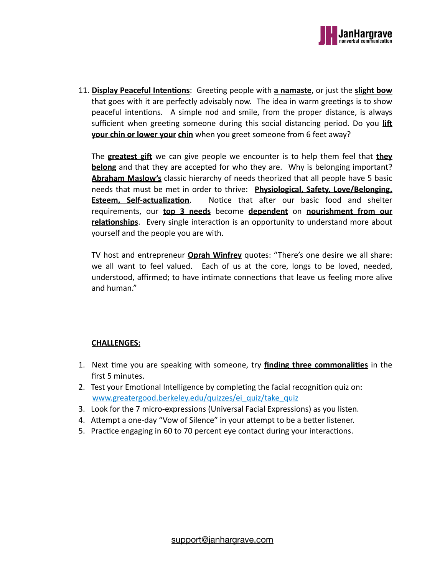

11. **Display Peaceful Intentions**: Greeting people with **a namaste**, or just the **slight bow** that goes with it are perfectly advisably now. The idea in warm greetings is to show peaceful intentions. A simple nod and smile, from the proper distance, is always sufficient when greeting someone during this social distancing period. Do you lift **your chin or lower your chin** when you greet someone from 6 feet away?

The **greatest gift** we can give people we encounter is to help them feel that **they belong** and that they are accepted for who they are. Why is belonging important? **Abraham Maslow's** classic hierarchy of needs theorized that all people have 5 basic needs that must be met in order to thrive: **Physiological, Safety, Love/Belonging, Esteem, Self-actualization**. Notice that after our basic food and shelter requirements, our **top 3 needs** become **dependent** on **nourishment from our relationships**. Every single interaction is an opportunity to understand more about yourself and the people you are with.

TV host and entrepreneur **Oprah Winfrey** quotes: "There's one desire we all share: we all want to feel valued. Each of us at the core, longs to be loved, needed, understood, affirmed; to have intimate connections that leave us feeling more alive and human."

## **CHALLENGES:**

- 1. Next time you are speaking with someone, try **finding three commonalities** in the first 5 minutes.
- 2. Test your Emotional Intelligence by completing the facial recognition quiz on: [www.greatergood.berkeley.edu/quizzes/ei\\_quiz/take\\_quiz](http://www.greatergood.berkeley.edu/quizzes/ei_quiz/take_quiz)
- 3. Look for the 7 micro-expressions (Universal Facial Expressions) as you listen.
- 4. Attempt a one-day "Vow of Silence" in your attempt to be a better listener.
- 5. Practice engaging in 60 to 70 percent eye contact during your interactions.